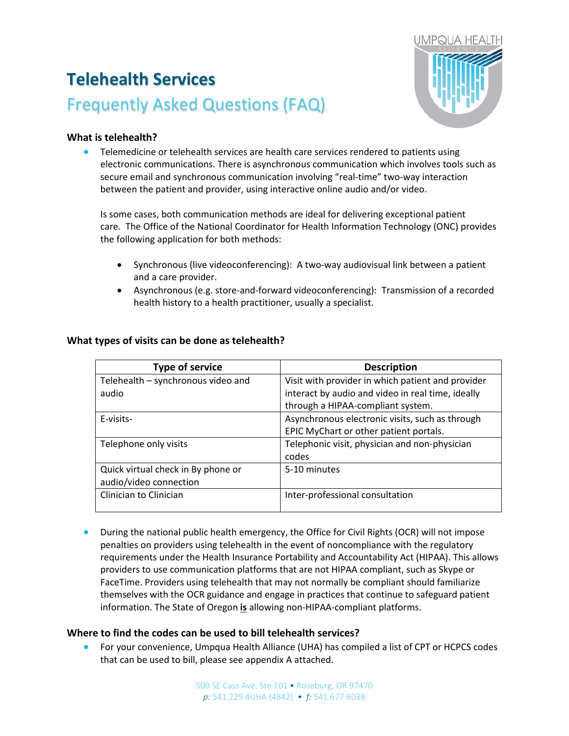# **Telehealth Services** Frequently Asked Questions (FAQ)



# **What is telehealth?**

• Telemedicine or telehealth services are health care services rendered to patients using electronic communications. There is asynchronous communication which involves tools such as secure email and synchronous communication involving "real-time" two-way interaction between the patient and provider, using interactive online audio and/or video.

Is some cases, both communication methods are ideal for delivering exceptional patient care. The Office of the National Coordinator for Health Information Technology (ONC) provides the following application for both methods:

- Synchronous (live videoconferencing): A two-way audiovisual link between a patient and a care provider.
- Asynchronous (e.g. store-and-forward videoconferencing): Transmission of a recorded health history to a health practitioner, usually a specialist.

| <b>Type of service</b>             | <b>Description</b>                                |
|------------------------------------|---------------------------------------------------|
| Telehealth - synchronous video and | Visit with provider in which patient and provider |
| audio                              | interact by audio and video in real time, ideally |
|                                    | through a HIPAA-compliant system.                 |
| E-visits-                          | Asynchronous electronic visits, such as through   |
|                                    | EPIC MyChart or other patient portals.            |
| Telephone only visits              | Telephonic visit, physician and non-physician     |
|                                    | codes                                             |
| Quick virtual check in By phone or | 5-10 minutes                                      |
| audio/video connection             |                                                   |
| Clinician to Clinician             | Inter-professional consultation                   |
|                                    |                                                   |

#### **What types of visits can be done as telehealth?**

• During the national public health emergency, the Office for Civil Rights (OCR) will not impose penalties on providers using telehealth in the event of noncompliance with the regulatory requirements under the Health Insurance Portability and Accountability Act (HIPAA). This allows providers to use communication platforms that are not HIPAA compliant, such as Skype or FaceTime. Providers using telehealth that may not normally be compliant should familiarize themselves with the OCR guidance and engage in practices that continue to safeguard patient information. The State of Oregon **is** allowing non-HIPAA-compliant platforms.

# **Where to find the codes can be used to bill telehealth services?**

• For your convenience, Umpqua Health Alliance (UHA) has compiled a list of CPT or HCPCS codes that can be used to bill, please see appendix A attached.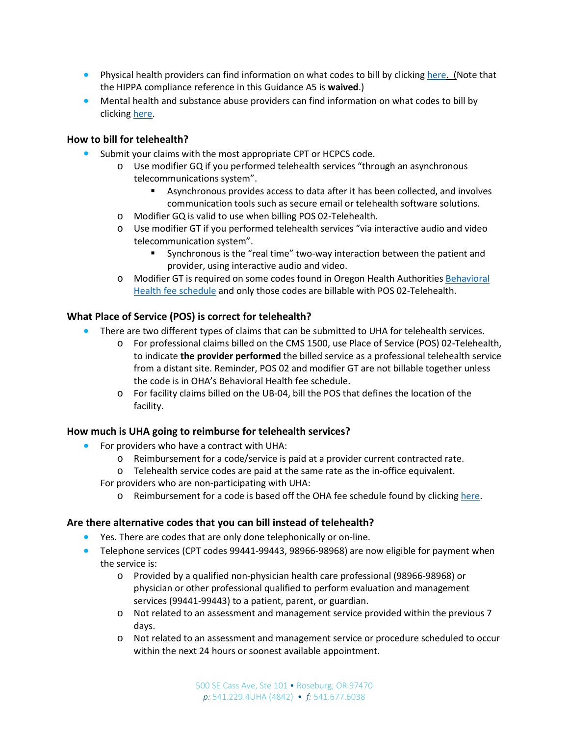- Physical health providers can find information on what codes to bill by clicking [here.](https://www.oregon.gov/oha/HPA/DSI-HERC/SearchablePLdocuments/Prioritized-List-GN-A005.docx) (Note that the HIPPA compliance reference in this Guidance A5 is **waived**.)
- Mental health and substance abuse providers can find information on what codes to bill by clicking [here.](https://www.oregon.gov/oha/HSD/OHP/Announcements/Expanded%20telehealth%20coverage%20for%20behavioral%20health%20services.pdf)

### **How to bill for telehealth?**

- Submit your claims with the most appropriate CPT or HCPCS code.
	- o Use modifier GQ if you performed telehealth services "through an asynchronous telecommunications system".
		- Asynchronous provides access to data after it has been collected, and involves communication tools such as secure email or telehealth software solutions.
	- o Modifier GQ is valid to use when billing POS 02-Telehealth.
	- o Use modifier GT if you performed telehealth services "via interactive audio and video telecommunication system".
		- Synchronous is the "real time" two-way interaction between the patient and provider, using interactive audio and video.
	- o Modifier GT is required on some codes found in Oregon Health Authoritie[s Behavioral](https://www.oregon.gov/OHA/HSD/OHP/Pages/Fee-Schedule.aspx)  [Health fee schedule](https://www.oregon.gov/OHA/HSD/OHP/Pages/Fee-Schedule.aspx) and only those codes are billable with POS 02-Telehealth.

# **What Place of Service (POS) is correct for telehealth?**

- There are two different types of claims that can be submitted to UHA for telehealth services.
	- o For professional claims billed on the CMS 1500, use Place of Service (POS) 02-Telehealth, to indicate **the provider performed** the billed service as a professional telehealth service from a distant site. Reminder, POS 02 and modifier GT are not billable together unless the code is in OHA's Behavioral Health fee schedule.
	- o For facility claims billed on the UB-04, bill the POS that defines the location of the facility.

# **How much is UHA going to reimburse for telehealth services?**

- For providers who have a contract with UHA:
	- o Reimbursement for a code/service is paid at a provider current contracted rate.
	- o Telehealth service codes are paid at the same rate as the in-office equivalent.
	- For providers who are non-participating with UHA:
		- o Reimbursement for a code is based off the OHA fee schedule found by clicking [here.](https://www.oregon.gov/oha/HSD/OHP/Pages/Fee-Schedule.aspx)

#### **Are there alternative codes that you can bill instead of telehealth?**

- Yes. There are codes that are only done telephonically or on-line.
- Telephone services (CPT codes 99441-99443, 98966-98968) are now eligible for payment when the service is:
	- o Provided by a qualified non-physician health care professional (98966-98968) or physician or other professional qualified to perform evaluation and management services (99441-99443) to a patient, parent, or guardian.
	- o Not related to an assessment and management service provided within the previous 7 days.
	- o Not related to an assessment and management service or procedure scheduled to occur within the next 24 hours or soonest available appointment.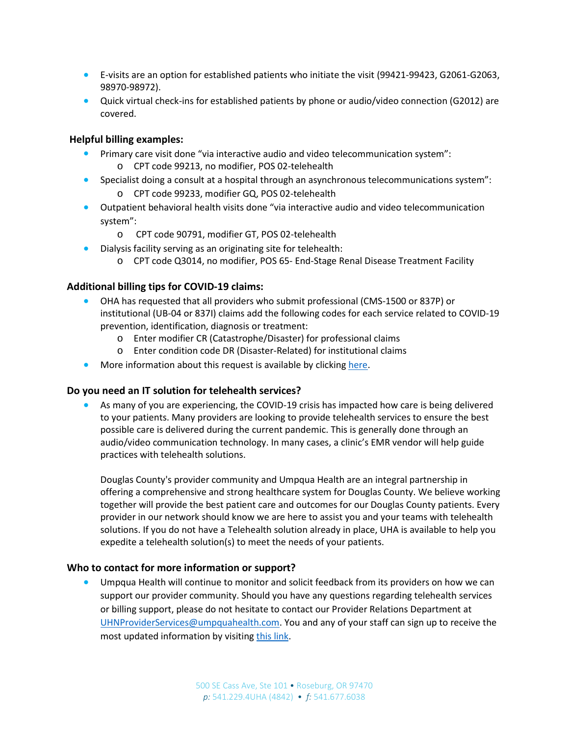- E-visits are an option for established patients who initiate the visit (99421-99423, G2061-G2063, 98970-98972).
- Quick virtual check-ins for established patients by phone or audio/video connection (G2012) are covered.

### **Helpful billing examples:**

- Primary care visit done "via interactive audio and video telecommunication system": o CPT code 99213, no modifier, POS 02-telehealth
- Specialist doing a consult at a hospital through an asynchronous telecommunications system":
	- o CPT code 99233, modifier GQ, POS 02-telehealth
- Outpatient behavioral health visits done "via interactive audio and video telecommunication system":
	- o CPT code 90791, modifier GT, POS 02-telehealth
- Dialysis facility serving as an originating site for telehealth:
	- o CPT code Q3014, no modifier, POS 65- End-Stage Renal Disease Treatment Facility

# **Additional billing tips for COVID-19 claims:**

- OHA has requested that all providers who submit professional (CMS-1500 or 837P) or institutional (UB-04 or 837I) claims add the following codes for each service related to COVID-19 prevention, identification, diagnosis or treatment:
	- o Enter modifier CR (Catastrophe/Disaster) for professional claims
	- o Enter condition code DR (Disaster-Related) for institutional claims
- More information about this request is available by clicking [here.](https://www.oregon.gov/oha/HSD/OHP/Announcements/How%20to%20bill%20for%20COVID-19%20services%20to%20OHP%20members%20effective%20immediately.pdf)

#### **Do you need an IT solution for telehealth services?**

• As many of you are experiencing, the COVID-19 crisis has impacted how care is being delivered to your patients. Many providers are looking to provide telehealth services to ensure the best possible care is delivered during the current pandemic. This is generally done through an audio/video communication technology. In many cases, a clinic's EMR vendor will help guide practices with telehealth solutions.

Douglas County's provider community and Umpqua Health are an integral partnership in offering a comprehensive and strong healthcare system for Douglas County. We believe working together will provide the best patient care and outcomes for our Douglas County patients. Every provider in our network should know we are here to assist you and your teams with telehealth solutions. If you do not have a Telehealth solution already in place, UHA is available to help you expedite a telehealth solution(s) to meet the needs of your patients.

#### **Who to contact for more information or support?**

• Umpqua Health will continue to monitor and solicit feedback from its providers on how we can support our provider community. Should you have any questions regarding telehealth services or billing support, please do not hesitate to contact our Provider Relations Department at [UHNProviderServices@umpquahealth.com.](mailto:UHNProviderServices@umpquahealth.com) You and any of your staff can sign up to receive the most updated information by visiting [this link.](https://urldefense.proofpoint.com/v2/url?u=https-3A__signup.e2ma.net_signup_1846531_1716984_&d=DwMFAg&c=euGZstcaTDllvimEN8b7jXrwqOf-v5A_CdpgnVfiiMM&r=5YLKOWB6KNlbKe2fvNHR1JBCyh5gEcqYrZZrq-F6I-z61sgYEp9xI7AeHWz5NcRE&m=DQTDXXNtHZRNSGPAJ1nF2IX1e82vHOXsYICt3dbLDbI&s=K4PUv1jZJwFVlkUhUZghkNGv5OxCDUdfIa8HWpKM9xc&e=)